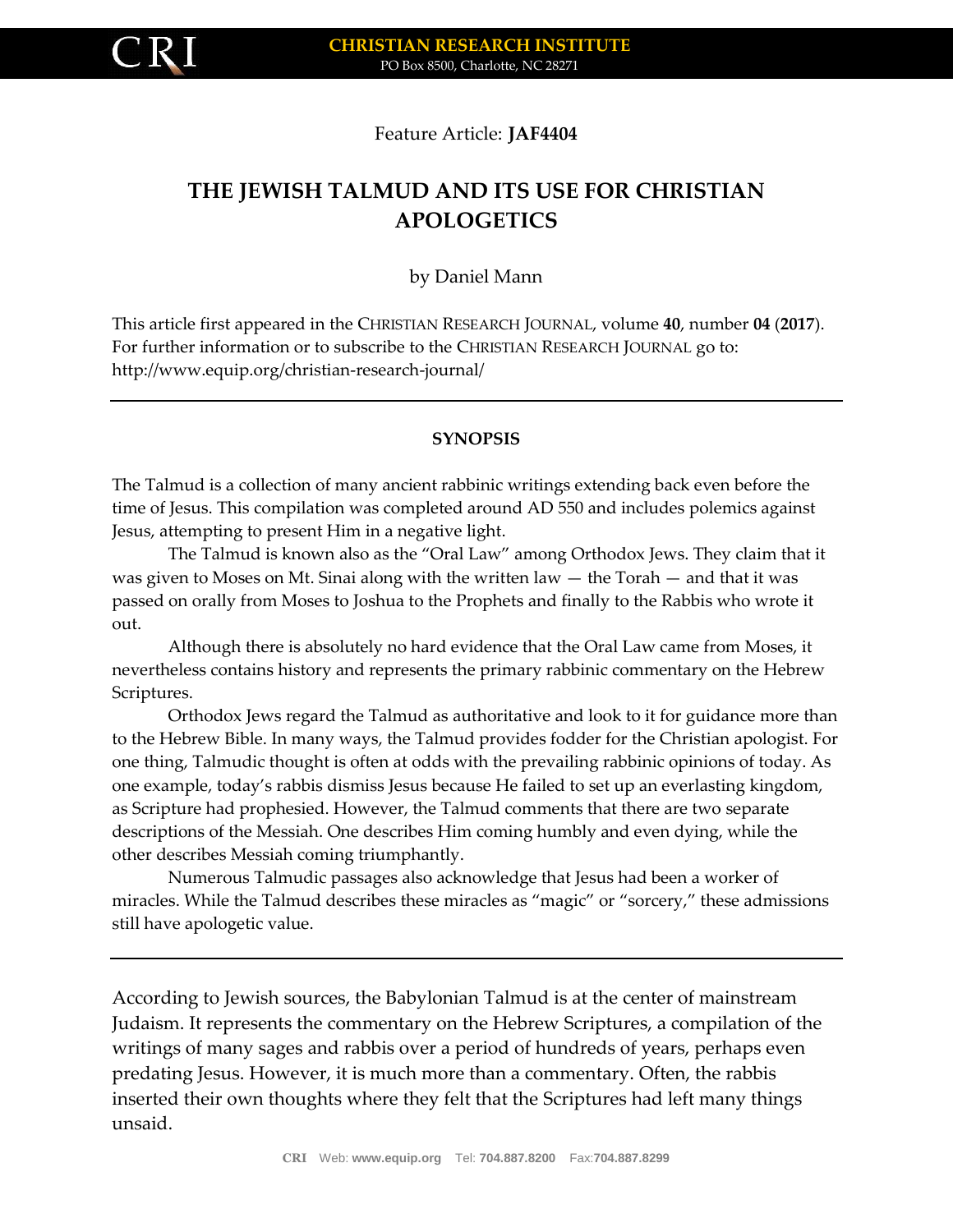

#### Feature Article: **JAF4404**

# **THE JEWISH TALMUD AND ITS USE FOR CHRISTIAN APOLOGETICS**

by Daniel Mann

This article first appeared in the CHRISTIAN RESEARCH JOURNAL, volume **40**, number **04** (**2017**). For further information or to subscribe to the CHRISTIAN RESEARCH JOURNAL go to: http://www.equip.org/christian-research-journal/

#### **SYNOPSIS**

The Talmud is a collection of many ancient rabbinic writings extending back even before the time of Jesus. This compilation was completed around AD 550 and includes polemics against Jesus, attempting to present Him in a negative light.

The Talmud is known also as the "Oral Law" among Orthodox Jews. They claim that it was given to Moses on Mt. Sinai along with the written law  $-$  the Torah  $-$  and that it was passed on orally from Moses to Joshua to the Prophets and finally to the Rabbis who wrote it out.

Although there is absolutely no hard evidence that the Oral Law came from Moses, it nevertheless contains history and represents the primary rabbinic commentary on the Hebrew Scriptures.

Orthodox Jews regard the Talmud as authoritative and look to it for guidance more than to the Hebrew Bible. In many ways, the Talmud provides fodder for the Christian apologist. For one thing, Talmudic thought is often at odds with the prevailing rabbinic opinions of today. As one example, today's rabbis dismiss Jesus because He failed to set up an everlasting kingdom, as Scripture had prophesied. However, the Talmud comments that there are two separate descriptions of the Messiah. One describes Him coming humbly and even dying, while the other describes Messiah coming triumphantly.

Numerous Talmudic passages also acknowledge that Jesus had been a worker of miracles. While the Talmud describes these miracles as "magic" or "sorcery," these admissions still have apologetic value.

According to Jewish sources, the Babylonian Talmud is at the center of mainstream Judaism. It represents the commentary on the Hebrew Scriptures, a compilation of the writings of many sages and rabbis over a period of hundreds of years, perhaps even predating Jesus. However, it is much more than a commentary. Often, the rabbis inserted their own thoughts where they felt that the Scriptures had left many things unsaid.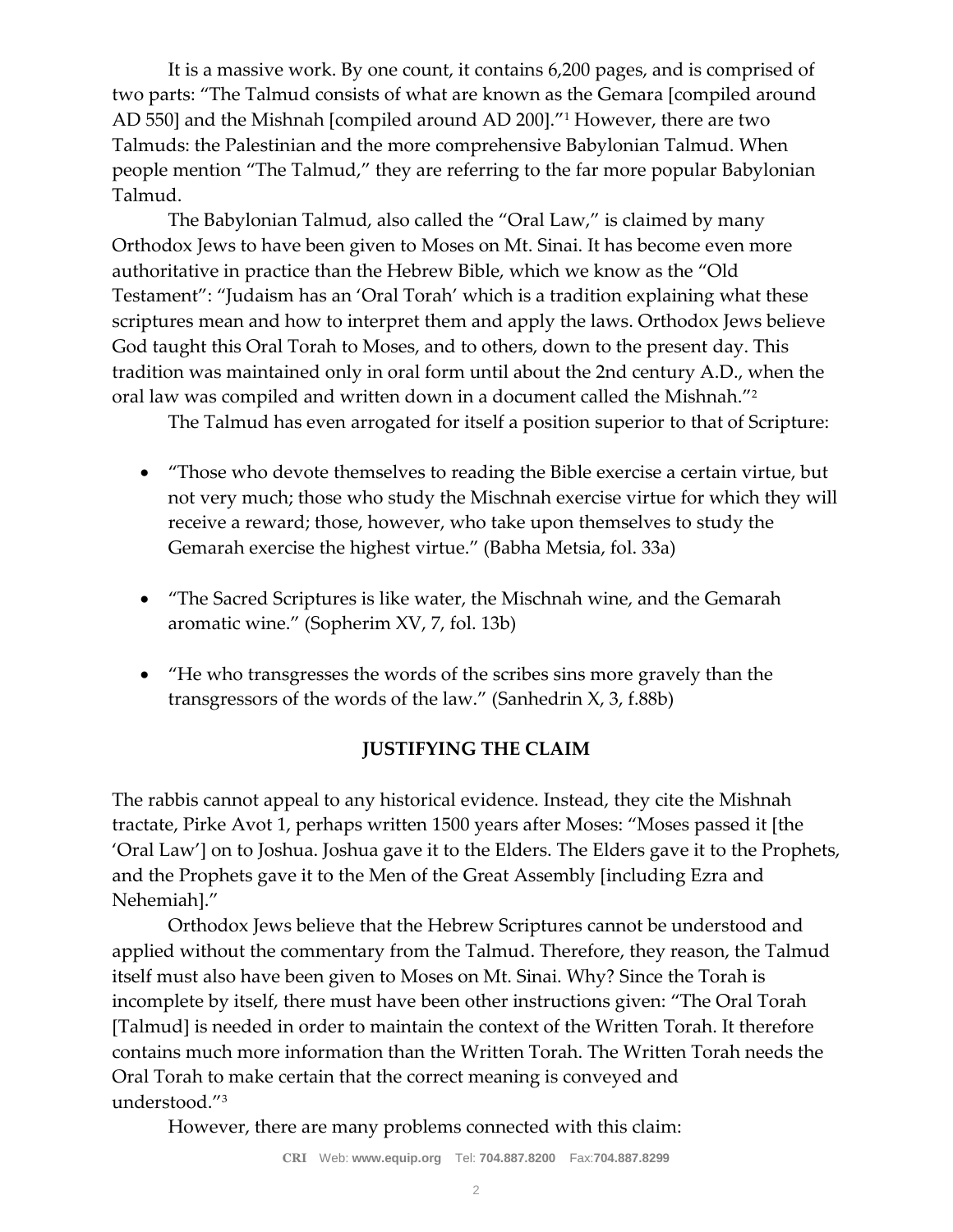It is a massive work. By one count, it contains 6,200 pages, and is comprised of two parts: "The Talmud consists of what are known as the Gemara [compiled around AD 550] and the Mishnah [compiled around AD 200]."<sup>1</sup> However, there are two Talmuds: the Palestinian and the more comprehensive Babylonian Talmud. When people mention "The Talmud," they are referring to the far more popular Babylonian Talmud.

The Babylonian Talmud, also called the "Oral Law," is claimed by many Orthodox Jews to have been given to Moses on Mt. Sinai. It has become even more authoritative in practice than the Hebrew Bible, which we know as the "Old Testament": "Judaism has an 'Oral Torah' which is a tradition explaining what these scriptures mean and how to interpret them and apply the laws. Orthodox Jews believe God taught this Oral Torah to Moses, and to others, down to the present day. This tradition was maintained only in oral form until about the 2nd century A.D., when the oral law was compiled and written down in a document called the Mishnah."<sup>2</sup>

The Talmud has even arrogated for itself a position superior to that of Scripture:

- "Those who devote themselves to reading the Bible exercise a certain virtue, but not very much; those who study the Mischnah exercise virtue for which they will receive a reward; those, however, who take upon themselves to study the Gemarah exercise the highest virtue." (Babha Metsia, fol. 33a)
- "The Sacred Scriptures is like water, the Mischnah wine, and the Gemarah aromatic wine." (Sopherim XV, 7, fol. 13b)
- "He who transgresses the words of the scribes sins more gravely than the transgressors of the words of the law." (Sanhedrin X, 3, f.88b)

### **JUSTIFYING THE CLAIM**

The rabbis cannot appeal to any historical evidence. Instead, they cite the Mishnah tractate, Pirke Avot 1, perhaps written 1500 years after Moses: "Moses passed it [the 'Oral Law'] on to Joshua. Joshua gave it to the Elders. The Elders gave it to the Prophets, and the Prophets gave it to the Men of the Great Assembly [including Ezra and Nehemiah]."

Orthodox Jews believe that the Hebrew Scriptures cannot be understood and applied without the commentary from the Talmud. Therefore, they reason, the Talmud itself must also have been given to Moses on Mt. Sinai. Why? Since the Torah is incomplete by itself, there must have been other instructions given: "The Oral Torah [Talmud] is needed in order to maintain the context of the Written Torah. It therefore contains much more information than the Written Torah. The Written Torah needs the Oral Torah to make certain that the correct meaning is conveyed and understood."<sup>3</sup>

However, there are many problems connected with this claim: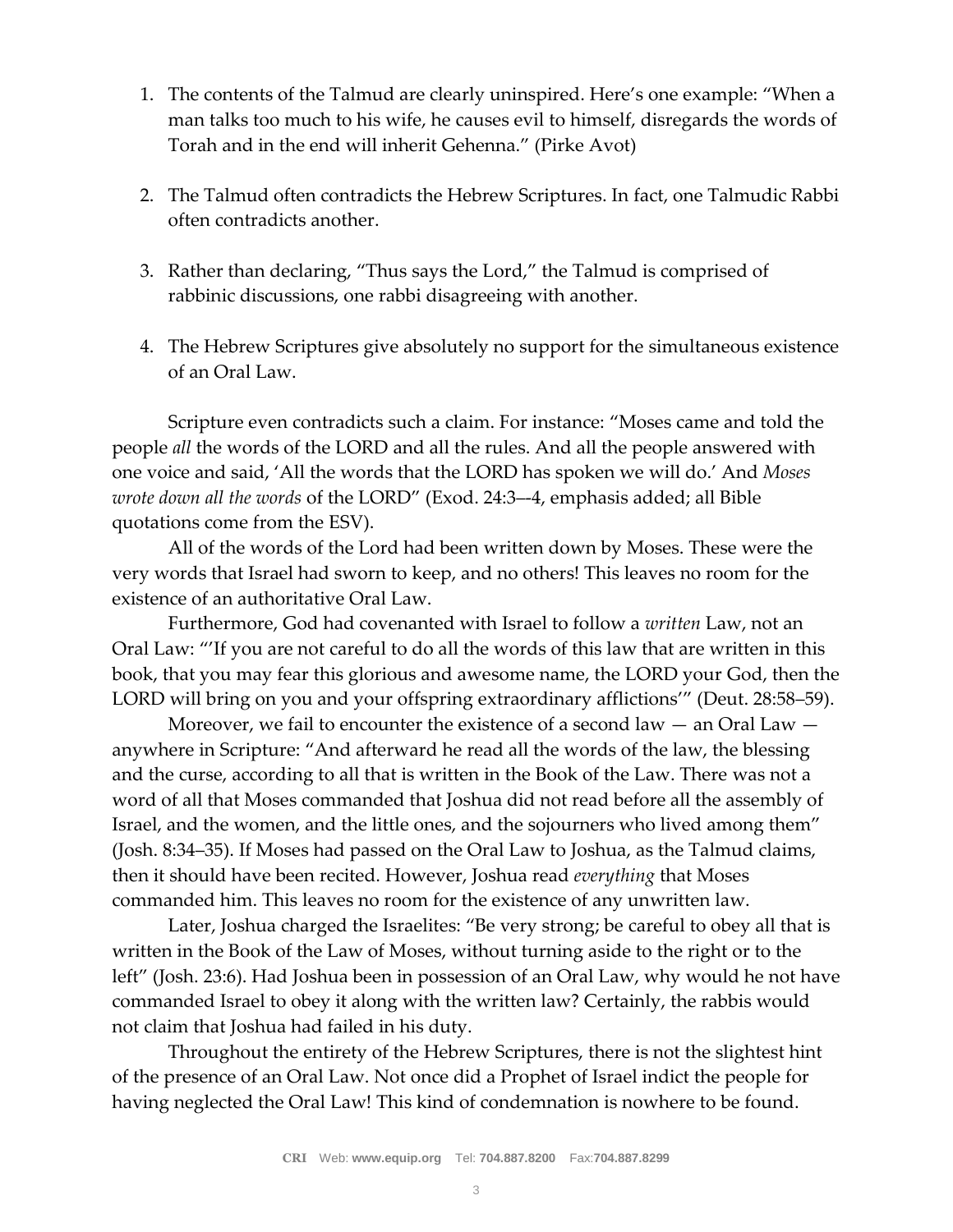- 1. The contents of the Talmud are clearly uninspired. Here's one example: "When a man talks too much to his wife, he causes evil to himself, disregards the words of Torah and in the end will inherit Gehenna." (Pirke Avot)
- 2. The Talmud often contradicts the Hebrew Scriptures. In fact, one Talmudic Rabbi often contradicts another.
- 3. Rather than declaring, "Thus says the Lord," the Talmud is comprised of rabbinic discussions, one rabbi disagreeing with another.
- 4. The Hebrew Scriptures give absolutely no support for the simultaneous existence of an Oral Law.

Scripture even contradicts such a claim. For instance: "Moses came and told the people *all* the words of the LORD and all the rules. And all the people answered with one voice and said, 'All the words that the LORD has spoken we will do.' And *Moses wrote down all the words* of the LORD" (Exod. 24:3–-4, emphasis added; all Bible quotations come from the ESV).

All of the words of the Lord had been written down by Moses. These were the very words that Israel had sworn to keep, and no others! This leaves no room for the existence of an authoritative Oral Law.

Furthermore, God had covenanted with Israel to follow a *written* Law, not an Oral Law: "'If you are not careful to do all the words of this law that are written in this book, that you may fear this glorious and awesome name, the LORD your God, then the LORD will bring on you and your offspring extraordinary afflictions'" (Deut. 28:58–59).

Moreover, we fail to encounter the existence of a second law  $-$  an Oral Law  $$ anywhere in Scripture: "And afterward he read all the words of the law, the blessing and the curse, according to all that is written in the Book of the Law. There was not a word of all that Moses commanded that Joshua did not read before all the assembly of Israel, and the women, and the little ones, and the sojourners who lived among them" (Josh. 8:34–35). If Moses had passed on the Oral Law to Joshua, as the Talmud claims, then it should have been recited. However, Joshua read *everything* that Moses commanded him. This leaves no room for the existence of any unwritten law.

Later, Joshua charged the Israelites: "Be very strong; be careful to obey all that is written in the Book of the Law of Moses, without turning aside to the right or to the left" (Josh. 23:6). Had Joshua been in possession of an Oral Law, why would he not have commanded Israel to obey it along with the written law? Certainly, the rabbis would not claim that Joshua had failed in his duty.

Throughout the entirety of the Hebrew Scriptures, there is not the slightest hint of the presence of an Oral Law. Not once did a Prophet of Israel indict the people for having neglected the Oral Law! This kind of condemnation is nowhere to be found.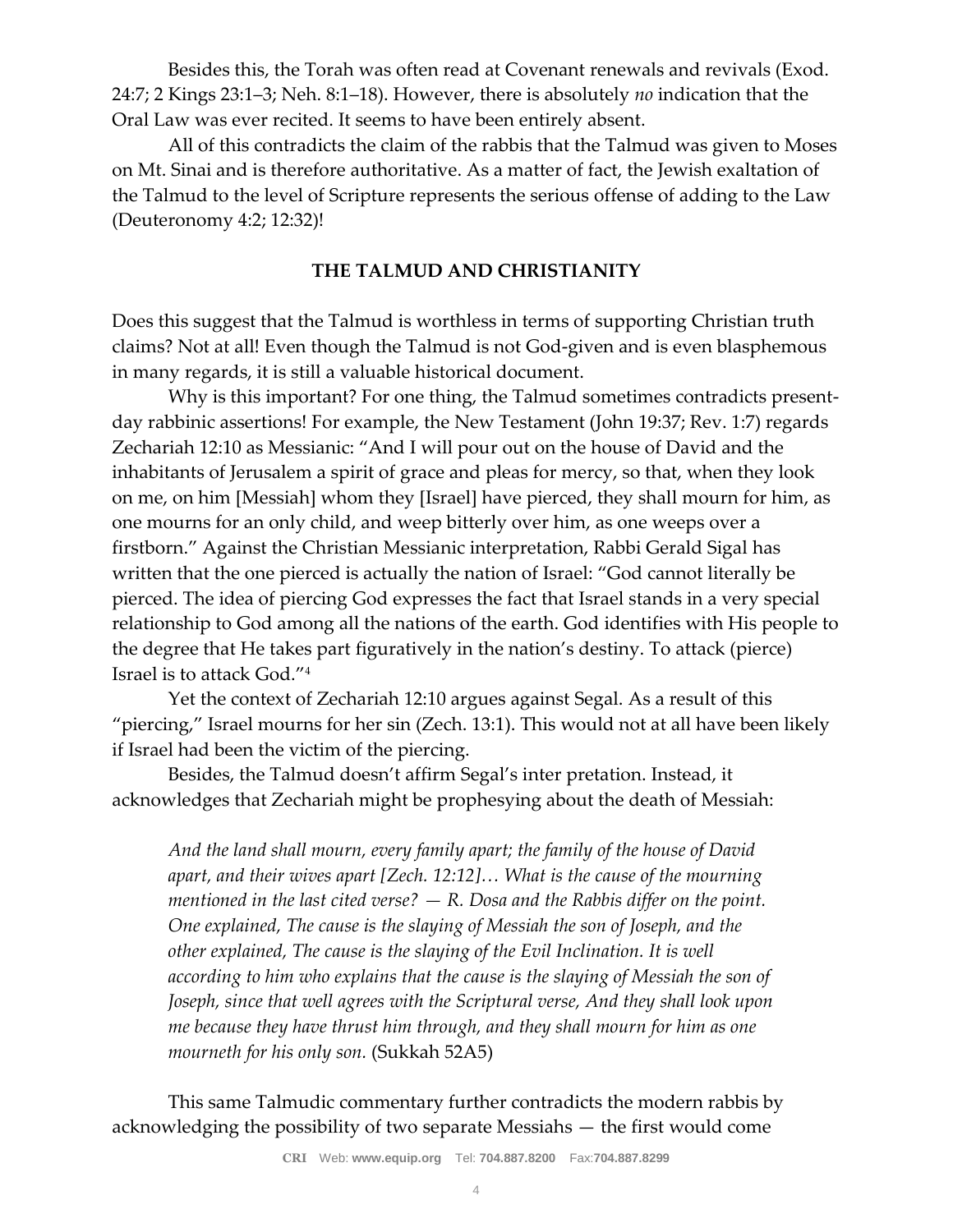Besides this, the Torah was often read at Covenant renewals and revivals (Exod. 24:7; 2 Kings 23:1–3; Neh. 8:1–18). However, there is absolutely *no* indication that the Oral Law was ever recited. It seems to have been entirely absent.

All of this contradicts the claim of the rabbis that the Talmud was given to Moses on Mt. Sinai and is therefore authoritative. As a matter of fact, the Jewish exaltation of the Talmud to the level of Scripture represents the serious offense of adding to the Law (Deuteronomy 4:2; 12:32)!

### **THE TALMUD AND CHRISTIANITY**

Does this suggest that the Talmud is worthless in terms of supporting Christian truth claims? Not at all! Even though the Talmud is not God-given and is even blasphemous in many regards, it is still a valuable historical document.

Why is this important? For one thing, the Talmud sometimes contradicts presentday rabbinic assertions! For example, the New Testament (John 19:37; Rev. 1:7) regards Zechariah 12:10 as Messianic: "And I will pour out on the house of David and the inhabitants of Jerusalem a spirit of grace and pleas for mercy, so that, when they look on me, on him [Messiah] whom they [Israel] have pierced, they shall mourn for him, as one mourns for an only child, and weep bitterly over him, as one weeps over a firstborn." Against the Christian Messianic interpretation, Rabbi Gerald Sigal has written that the one pierced is actually the nation of Israel: "God cannot literally be pierced. The idea of piercing God expresses the fact that Israel stands in a very special relationship to God among all the nations of the earth. God identifies with His people to the degree that He takes part figuratively in the nation's destiny. To attack (pierce) Israel is to attack God."<sup>4</sup>

Yet the context of Zechariah 12:10 argues against Segal. As a result of this "piercing," Israel mourns for her sin (Zech. 13:1). This would not at all have been likely if Israel had been the victim of the piercing.

Besides, the Talmud doesn't affirm Segal's inter pretation. Instead, it acknowledges that Zechariah might be prophesying about the death of Messiah:

*And the land shall mourn, every family apart; the family of the house of David apart, and their wives apart [Zech. 12:12]… What is the cause of the mourning mentioned in the last cited verse? — R. Dosa and the Rabbis differ on the point. One explained, The cause is the slaying of Messiah the son of Joseph, and the other explained, The cause is the slaying of the Evil Inclination. It is well according to him who explains that the cause is the slaying of Messiah the son of Joseph, since that well agrees with the Scriptural verse, And they shall look upon me because they have thrust him through, and they shall mourn for him as one mourneth for his only son.* (Sukkah 52A5)

This same Talmudic commentary further contradicts the modern rabbis by acknowledging the possibility of two separate Messiahs — the first would come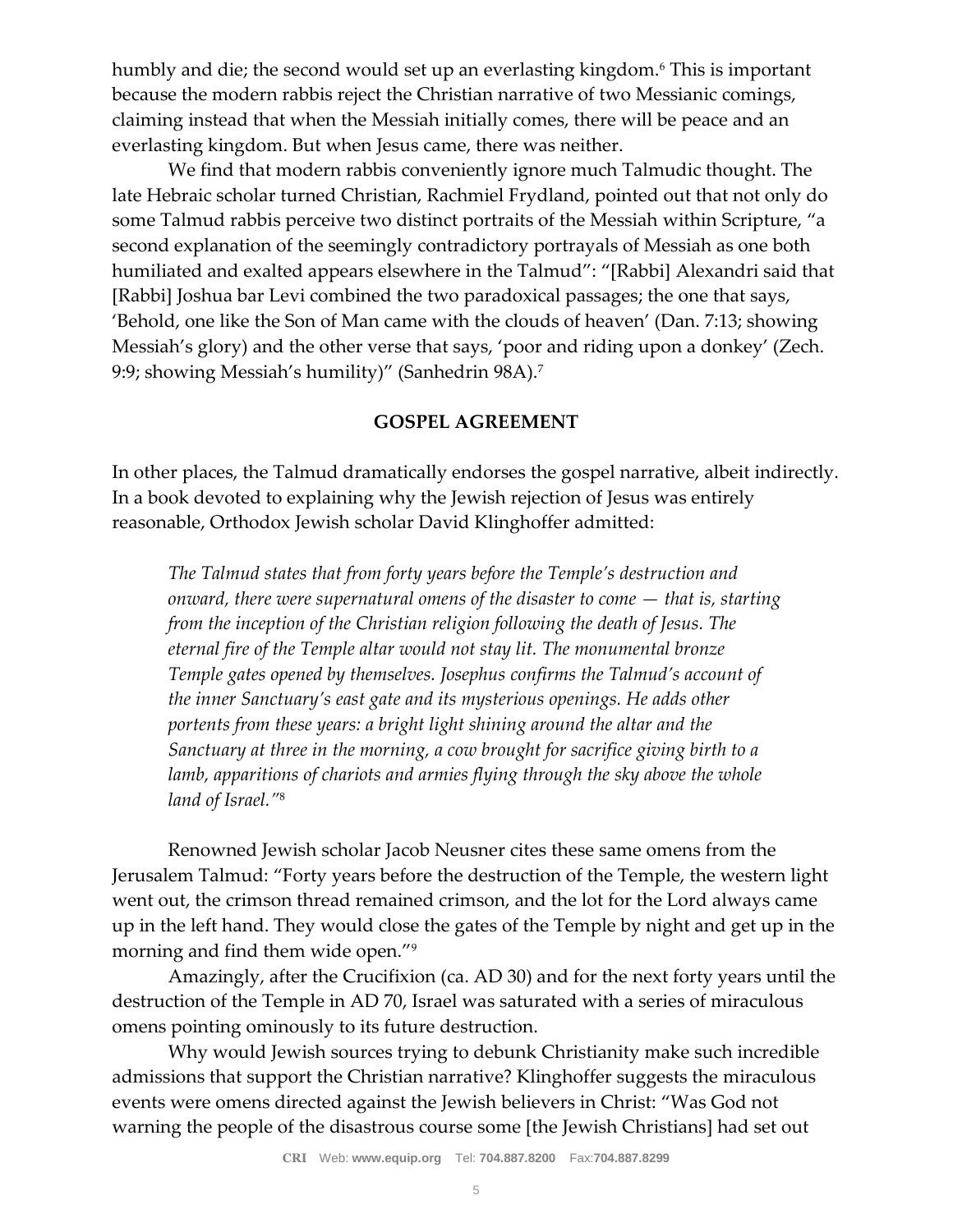humbly and die; the second would set up an everlasting kingdom.<sup>6</sup> This is important because the modern rabbis reject the Christian narrative of two Messianic comings, claiming instead that when the Messiah initially comes, there will be peace and an everlasting kingdom. But when Jesus came, there was neither.

We find that modern rabbis conveniently ignore much Talmudic thought. The late Hebraic scholar turned Christian, Rachmiel Frydland, pointed out that not only do some Talmud rabbis perceive two distinct portraits of the Messiah within Scripture, "a second explanation of the seemingly contradictory portrayals of Messiah as one both humiliated and exalted appears elsewhere in the Talmud": "[Rabbi] Alexandri said that [Rabbi] Joshua bar Levi combined the two paradoxical passages; the one that says, 'Behold, one like the Son of Man came with the clouds of heaven' (Dan. 7:13; showing Messiah's glory) and the other verse that says, 'poor and riding upon a donkey' (Zech. 9:9; showing Messiah's humility)" (Sanhedrin 98A).<sup>7</sup>

#### **GOSPEL AGREEMENT**

In other places, the Talmud dramatically endorses the gospel narrative, albeit indirectly. In a book devoted to explaining why the Jewish rejection of Jesus was entirely reasonable, Orthodox Jewish scholar David Klinghoffer admitted:

*The Talmud states that from forty years before the Temple's destruction and onward, there were supernatural omens of the disaster to come — that is, starting from the inception of the Christian religion following the death of Jesus. The eternal fire of the Temple altar would not stay lit. The monumental bronze Temple gates opened by themselves. Josephus confirms the Talmud's account of the inner Sanctuary's east gate and its mysterious openings. He adds other portents from these years: a bright light shining around the altar and the Sanctuary at three in the morning, a cow brought for sacrifice giving birth to a lamb, apparitions of chariots and armies flying through the sky above the whole land of Israel."*<sup>8</sup>

Renowned Jewish scholar Jacob Neusner cites these same omens from the Jerusalem Talmud: "Forty years before the destruction of the Temple, the western light went out, the crimson thread remained crimson, and the lot for the Lord always came up in the left hand. They would close the gates of the Temple by night and get up in the morning and find them wide open."<sup>9</sup>

Amazingly, after the Crucifixion (ca. AD 30) and for the next forty years until the destruction of the Temple in AD 70, Israel was saturated with a series of miraculous omens pointing ominously to its future destruction.

Why would Jewish sources trying to debunk Christianity make such incredible admissions that support the Christian narrative? Klinghoffer suggests the miraculous events were omens directed against the Jewish believers in Christ: "Was God not warning the people of the disastrous course some [the Jewish Christians] had set out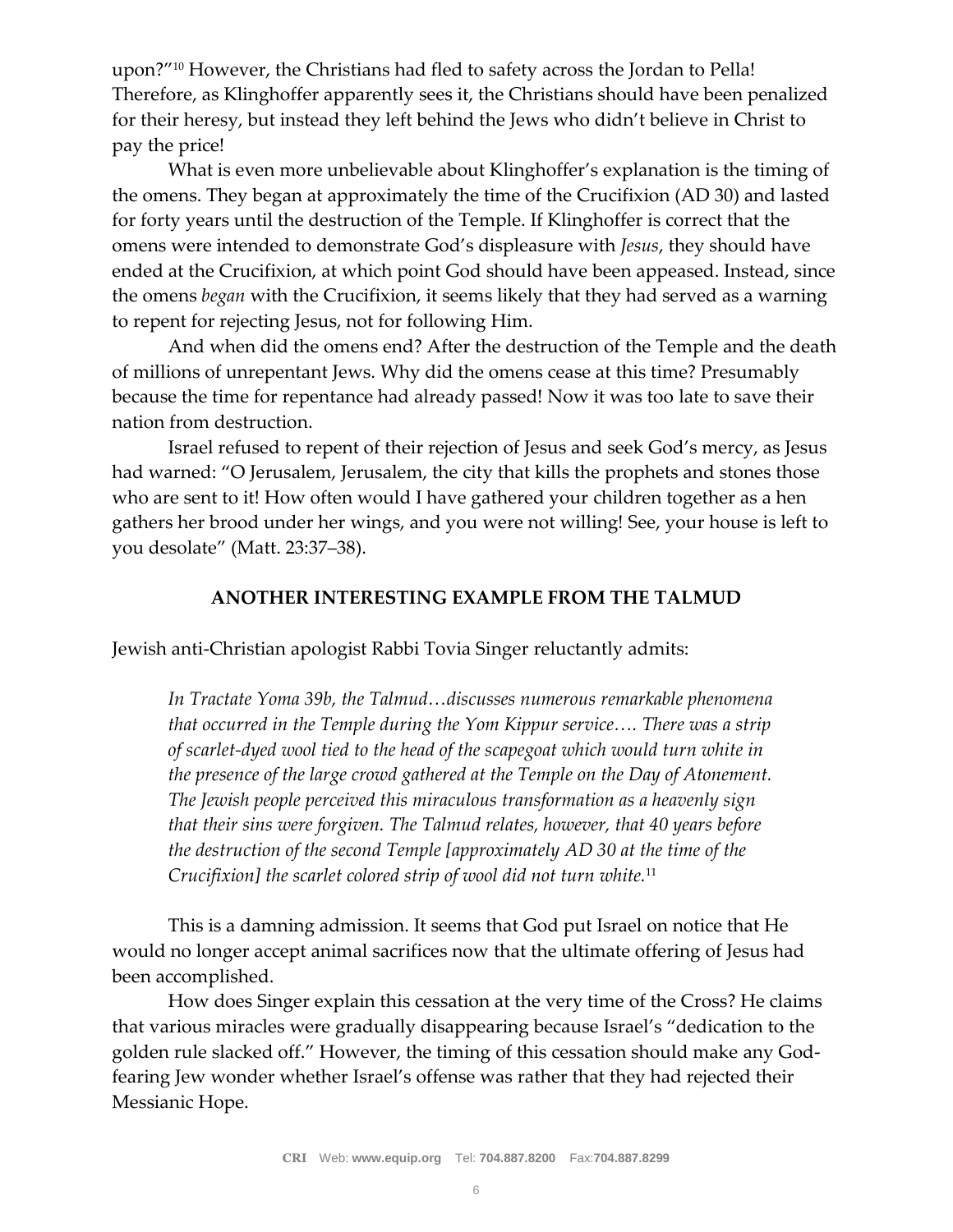upon?"<sup>10</sup> However, the Christians had fled to safety across the Jordan to Pella! Therefore, as Klinghoffer apparently sees it, the Christians should have been penalized for their heresy, but instead they left behind the Jews who didn't believe in Christ to pay the price!

What is even more unbelievable about Klinghoffer's explanation is the timing of the omens. They began at approximately the time of the Crucifixion (AD 30) and lasted for forty years until the destruction of the Temple. If Klinghoffer is correct that the omens were intended to demonstrate God's displeasure with *Jesus*, they should have ended at the Crucifixion, at which point God should have been appeased. Instead, since the omens *began* with the Crucifixion, it seems likely that they had served as a warning to repent for rejecting Jesus, not for following Him.

And when did the omens end? After the destruction of the Temple and the death of millions of unrepentant Jews. Why did the omens cease at this time? Presumably because the time for repentance had already passed! Now it was too late to save their nation from destruction.

Israel refused to repent of their rejection of Jesus and seek God's mercy, as Jesus had warned: "O Jerusalem, Jerusalem, the city that kills the prophets and stones those who are sent to it! How often would I have gathered your children together as a hen gathers her brood under her wings, and you were not willing! See, your house is left to you desolate" (Matt. 23:37–38).

#### **ANOTHER INTERESTING EXAMPLE FROM THE TALMUD**

Jewish anti-Christian apologist Rabbi Tovia Singer reluctantly admits:

*In Tractate Yoma 39b, the Talmud…discusses numerous remarkable phenomena that occurred in the Temple during the Yom Kippur service…. There was a strip of scarlet-dyed wool tied to the head of the scapegoat which would turn white in the presence of the large crowd gathered at the Temple on the Day of Atonement. The Jewish people perceived this miraculous transformation as a heavenly sign that their sins were forgiven. The Talmud relates, however, that 40 years before the destruction of the second Temple [approximately AD 30 at the time of the Crucifixion] the scarlet colored strip of wool did not turn white.*<sup>11</sup>

This is a damning admission. It seems that God put Israel on notice that He would no longer accept animal sacrifices now that the ultimate offering of Jesus had been accomplished.

How does Singer explain this cessation at the very time of the Cross? He claims that various miracles were gradually disappearing because Israel's "dedication to the golden rule slacked off." However, the timing of this cessation should make any Godfearing Jew wonder whether Israel's offense was rather that they had rejected their Messianic Hope.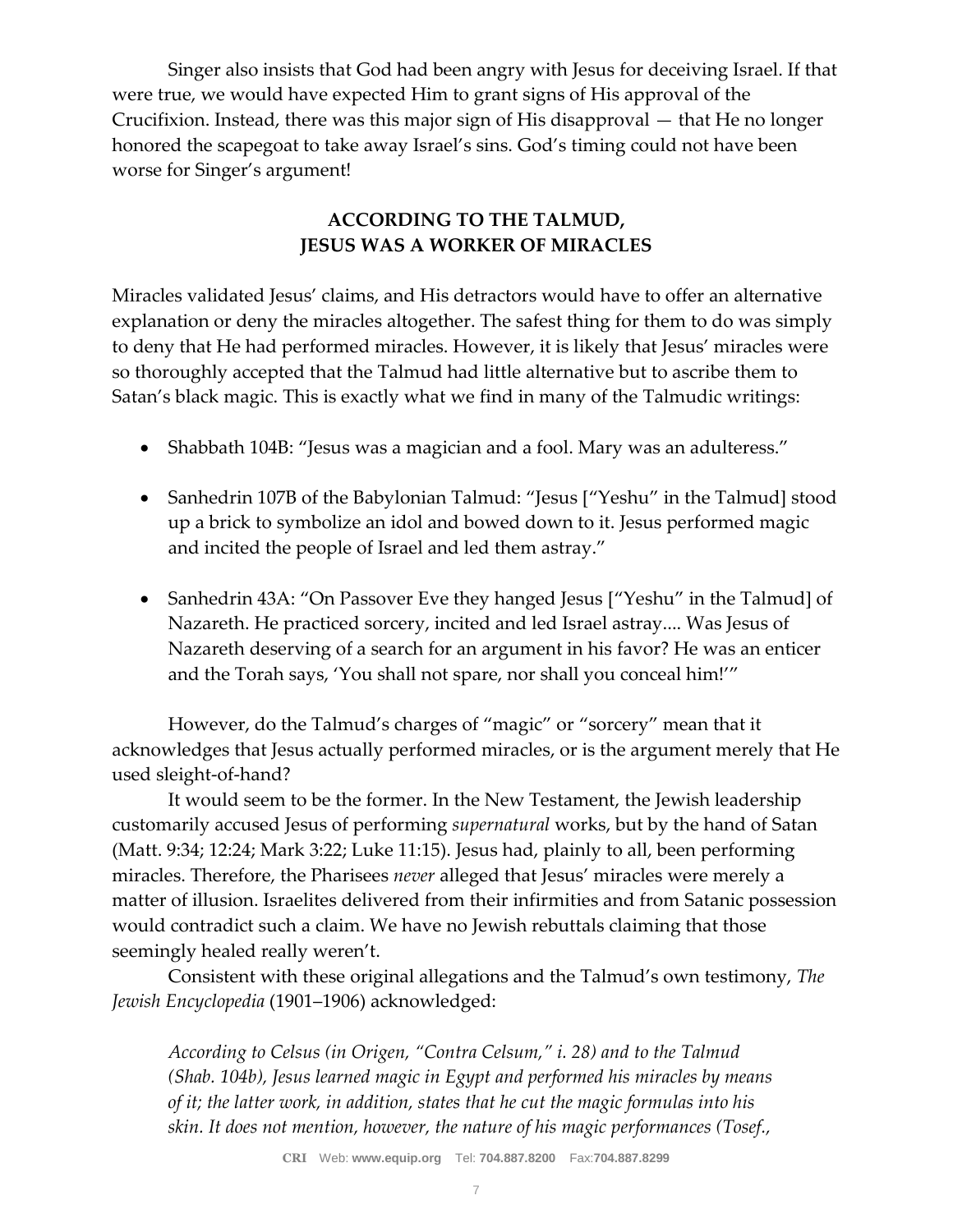Singer also insists that God had been angry with Jesus for deceiving Israel. If that were true, we would have expected Him to grant signs of His approval of the Crucifixion. Instead, there was this major sign of His disapproval — that He no longer honored the scapegoat to take away Israel's sins. God's timing could not have been worse for Singer's argument!

## **ACCORDING TO THE TALMUD, JESUS WAS A WORKER OF MIRACLES**

Miracles validated Jesus' claims, and His detractors would have to offer an alternative explanation or deny the miracles altogether. The safest thing for them to do was simply to deny that He had performed miracles. However, it is likely that Jesus' miracles were so thoroughly accepted that the Talmud had little alternative but to ascribe them to Satan's black magic. This is exactly what we find in many of the Talmudic writings:

- Shabbath 104B: "Jesus was a magician and a fool. Mary was an adulteress."
- Sanhedrin 107B of the Babylonian Talmud: "Jesus ["Yeshu" in the Talmud] stood up a brick to symbolize an idol and bowed down to it. Jesus performed magic and incited the people of Israel and led them astray."
- Sanhedrin 43A: "On Passover Eve they hanged Jesus ["Yeshu" in the Talmud] of Nazareth. He practiced sorcery, incited and led Israel astray.... Was Jesus of Nazareth deserving of a search for an argument in his favor? He was an enticer and the Torah says, 'You shall not spare, nor shall you conceal him!'"

However, do the Talmud's charges of "magic" or "sorcery" mean that it acknowledges that Jesus actually performed miracles, or is the argument merely that He used sleight-of-hand?

It would seem to be the former. In the New Testament, the Jewish leadership customarily accused Jesus of performing *supernatural* works, but by the hand of Satan (Matt. 9:34; 12:24; Mark 3:22; Luke 11:15). Jesus had, plainly to all, been performing miracles. Therefore, the Pharisees *never* alleged that Jesus' miracles were merely a matter of illusion. Israelites delivered from their infirmities and from Satanic possession would contradict such a claim. We have no Jewish rebuttals claiming that those seemingly healed really weren't.

Consistent with these original allegations and the Talmud's own testimony, *The Jewish Encyclopedia* (1901–1906) acknowledged:

*According to Celsus (in Origen, "Contra Celsum," i. 28) and to the Talmud (Shab. 104b), Jesus learned magic in Egypt and performed his miracles by means of it; the latter work, in addition, states that he cut the magic formulas into his skin. It does not mention, however, the nature of his magic performances (Tosef.,*